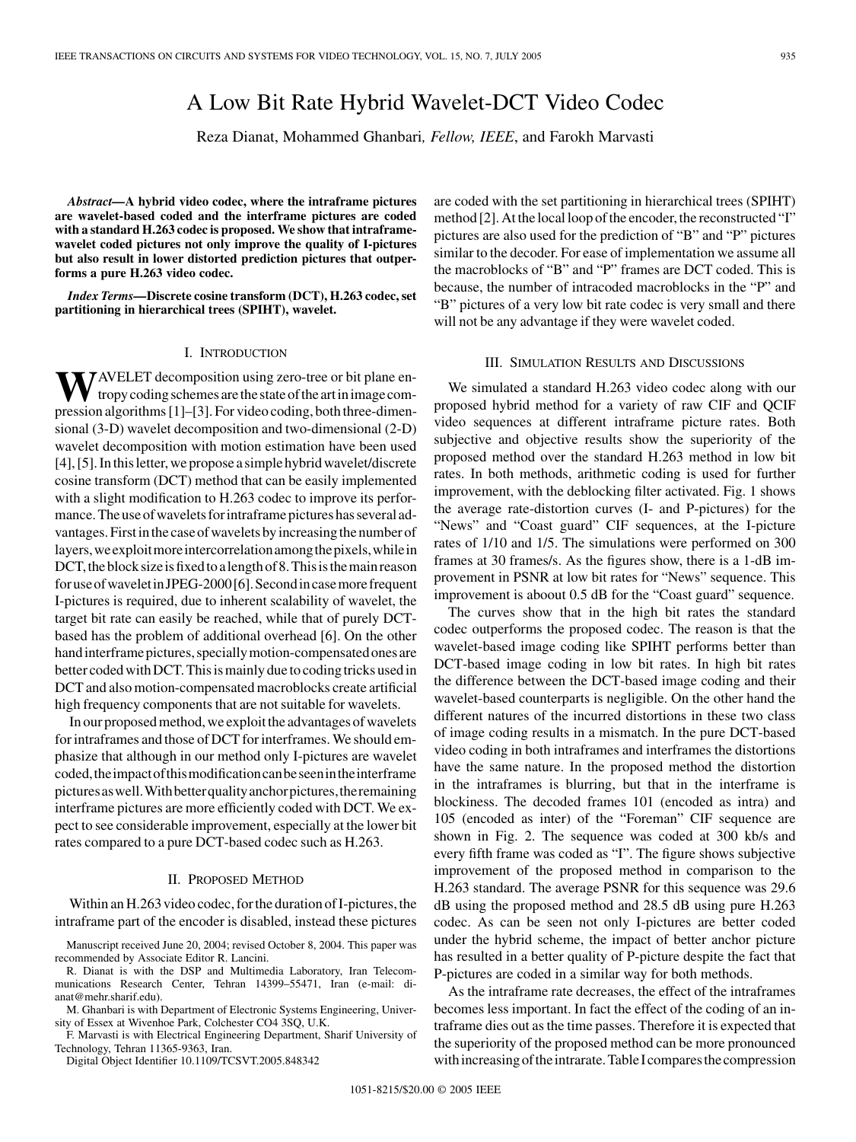# A Low Bit Rate Hybrid Wavelet-DCT Video Codec

Reza Dianat, Mohammed Ghanbari*, Fellow, IEEE*, and Farokh Marvasti

*Abstract—***A hybrid video codec, where the intraframe pictures are wavelet-based coded and the interframe pictures are coded with a standard H.263 codec is proposed. We show that intraframewavelet coded pictures not only improve the quality of I-pictures but also result in lower distorted prediction pictures that outperforms a pure H.263 video codec.**

*Index Terms—***Discrete cosine transform (DCT), H.263 codec, set partitioning in hierarchical trees (SPIHT), wavelet.**

## I. INTRODUCTION

**TAVELET** decomposition using zero-tree or bit plane entropycodingschemesarethestateoftheartin imagecompression algorithms [\[1](#page-2-0)]–[[3\]](#page-2-0). For video coding, both three-dimensional (3-D) wavelet decomposition and two-dimensional (2-D) wavelet decomposition with motion estimation have been used [\[4](#page-2-0)], [[5\]](#page-2-0). In this letter, we propose a simple hybrid wavelet/discrete cosine transform (DCT) method that can be easily implemented with a slight modification to H.263 codec to improve its performance. The use of wavelets for intraframe pictures has several advantages. First in the case of wavelets by increasing the number of layers, we exploit more intercorrelation among the pixels, while in DCT, the block size is fixed to a length of 8. This is the main reason foruseofwaveletinJPEG-2000[\[6](#page-2-0)].Secondincasemorefrequent I-pictures is required, due to inherent scalability of wavelet, the target bit rate can easily be reached, while that of purely DCTbased has the problem of additional overhead [[6\]](#page-2-0). On the other hand interframe pictures, specially motion-compensated ones are better coded with DCT. This is mainly due to coding tricks used in DCT and also motion-compensated macroblocks create artificial high frequency components that are not suitable for wavelets.

In our proposed method, we exploit the advantages of wavelets for intraframes and those of DCT for interframes. We should emphasize that although in our method only I-pictures are wavelet coded,theimpactofthismodificationcanbeseenintheinterframe pictures as well. With better quality anchor pictures, the remaining interframe pictures are more efficiently coded with DCT. We expect to see considerable improvement, especially at the lower bit rates compared to a pure DCT-based codec such as H.263.

## II. PROPOSED METHOD

Within an H.263 video codec, for the duration of I-pictures, the intraframe part of the encoder is disabled, instead these pictures

Manuscript received June 20, 2004; revised October 8, 2004. This paper was recommended by Associate Editor R. Lancini.

F. Marvasti is with Electrical Engineering Department, Sharif University of Technology, Tehran 11365-9363, Iran.

Digital Object Identifier 10.1109/TCSVT.2005.848342

are coded with the set partitioning in hierarchical trees (SPIHT) method [[2\]](#page-2-0). At the local loop of the encoder, the reconstructed "I" pictures are also used for the prediction of "B" and "P" pictures similar to the decoder. For ease of implementation we assume all the macroblocks of "B" and "P" frames are DCT coded. This is because, the number of intracoded macroblocks in the "P" and "B" pictures of a very low bit rate codec is very small and there will not be any advantage if they were wavelet coded.

### III. SIMULATION RESULTS AND DISCUSSIONS

We simulated a standard H.263 video codec along with our proposed hybrid method for a variety of raw CIF and QCIF video sequences at different intraframe picture rates. Both subjective and objective results show the superiority of the proposed method over the standard H.263 method in low bit rates. In both methods, arithmetic coding is used for further improvement, with the deblocking filter activated. Fig. 1 shows the average rate-distortion curves (I- and P-pictures) for the "News" and "Coast guard" CIF sequences, at the I-picture rates of 1/10 and 1/5. The simulations were performed on 300 frames at 30 frames/s. As the figures show, there is a 1-dB improvement in PSNR at low bit rates for "News" sequence. This improvement is aboout 0.5 dB for the "Coast guard" sequence.

The curves show that in the high bit rates the standard codec outperforms the proposed codec. The reason is that the wavelet-based image coding like SPIHT performs better than DCT-based image coding in low bit rates. In high bit rates the difference between the DCT-based image coding and their wavelet-based counterparts is negligible. On the other hand the different natures of the incurred distortions in these two class of image coding results in a mismatch. In the pure DCT-based video coding in both intraframes and interframes the distortions have the same nature. In the proposed method the distortion in the intraframes is blurring, but that in the interframe is blockiness. The decoded frames 101 (encoded as intra) and 105 (encoded as inter) of the "Foreman" CIF sequence are shown in Fig. 2. The sequence was coded at 300 kb/s and every fifth frame was coded as "I". The figure shows subjective improvement of the proposed method in comparison to the H.263 standard. The average PSNR for this sequence was 29.6 dB using the proposed method and 28.5 dB using pure H.263 codec. As can be seen not only I-pictures are better coded under the hybrid scheme, the impact of better anchor picture has resulted in a better quality of P-picture despite the fact that P-pictures are coded in a similar way for both methods.

As the intraframe rate decreases, the effect of the intraframes becomes less important. In fact the effect of the coding of an intraframe dies out as the time passes. Therefore it is expected that the superiority of the proposed method can be more pronounced with increasing of the intrarate. Table I compares the compression

R. Dianat is with the DSP and Multimedia Laboratory, Iran Telecommunications Research Center, Tehran 14399–55471, Iran (e-mail: dianat@mehr.sharif.edu).

M. Ghanbari is with Department of Electronic Systems Engineering, University of Essex at Wivenhoe Park, Colchester CO4 3SQ, U.K.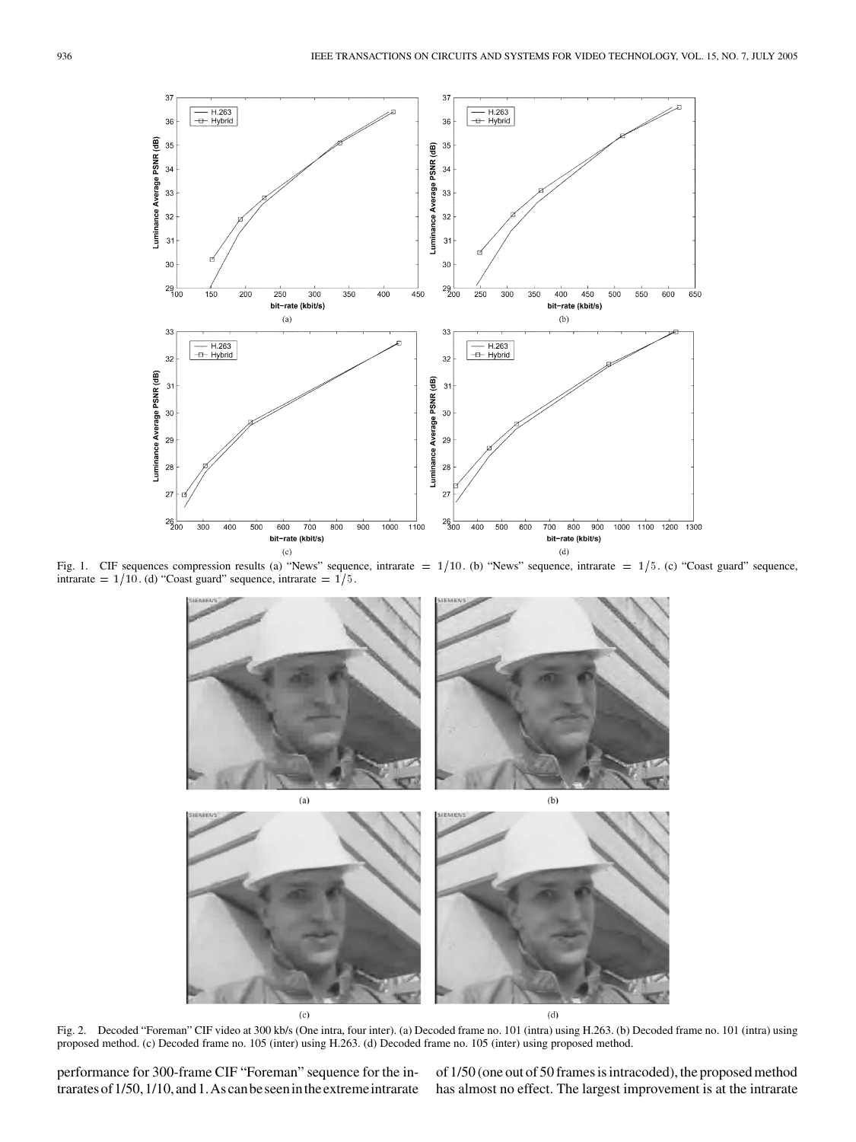

Fig. 1. CIF sequences compression results (a) "News" sequence, intrarate =  $1/10$ . (b) "News" sequence, intrarate =  $1/5$ . (c) "Coast guard" sequence, intrarate =  $1/10$ . (d) "Coast guard" sequence, intrarate =  $1/5$ .



Fig. 2. Decoded "Foreman" CIF video at 300 kb/s (One intra, four inter). (a) Decoded frame no. 101 (intra) using H.263. (b) Decoded frame no. 101 (intra) using proposed method. (c) Decoded frame no. 105 (inter) using H.263. (d) Decoded frame no. 105 (inter) using proposed method.

performance for 300-frame CIF "Foreman" sequence for the intraratesof1/50,1/10,and1.Ascanbeseenintheextremeintrarate

of 1/50 (one out of 50 frames is intracoded), the proposed method has almost no effect. The largest improvement is at the intrarate